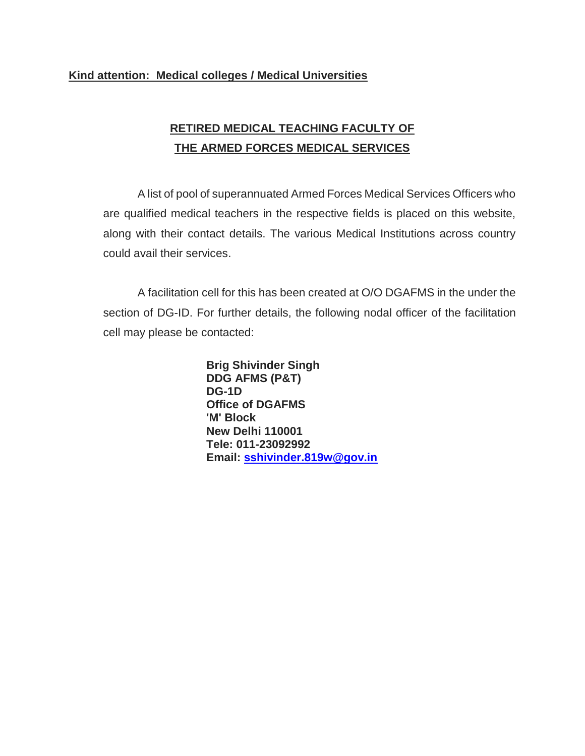## **Kind attention: Medical colleges / Medical Universities**

## **RETIRED MEDICAL TEACHING FACULTY OF THE ARMED FORCES MEDICAL SERVICES**

A list of pool of superannuated Armed Forces Medical Services Officers who are qualified medical teachers in the respective fields is placed on this website, along with their contact details. The various Medical Institutions across country could avail their services.

A facilitation cell for this has been created at O/O DGAFMS in the under the section of DG-ID. For further details, the following nodal officer of the facilitation cell may please be contacted:

> **Brig Shivinder Singh DDG AFMS (P&T) DG-1D Office of DGAFMS 'M' Block New Delhi 110001 Tele: 011-23092992 Email: [sshivinder.819w@gov.in](mailto:sshivinder.819w@gov.in)**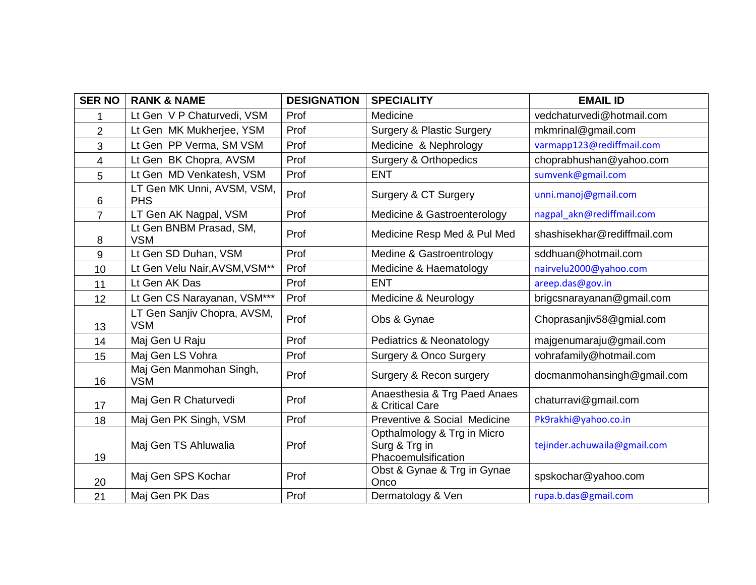| <b>SER NO</b>            | <b>RANK &amp; NAME</b>                    | <b>DESIGNATION</b> | <b>SPECIALITY</b>                                                   | <b>EMAIL ID</b>              |
|--------------------------|-------------------------------------------|--------------------|---------------------------------------------------------------------|------------------------------|
| 1                        | Lt Gen V P Chaturvedi, VSM                | Prof               | Medicine                                                            | vedchaturvedi@hotmail.com    |
| 2                        | Lt Gen MK Mukherjee, YSM                  | Prof               | <b>Surgery &amp; Plastic Surgery</b>                                | mkmrinal@gmail.com           |
| 3                        | Lt Gen PP Verma, SM VSM                   | Prof               | Medicine & Nephrology                                               | varmapp123@rediffmail.com    |
| $\overline{\mathcal{A}}$ | Lt Gen BK Chopra, AVSM                    | Prof               | <b>Surgery &amp; Orthopedics</b>                                    | choprabhushan@yahoo.com      |
| 5                        | Lt Gen MD Venkatesh, VSM                  | Prof               | <b>ENT</b>                                                          | sumvenk@gmail.com            |
| 6                        | LT Gen MK Unni, AVSM, VSM,<br><b>PHS</b>  | Prof               | Surgery & CT Surgery                                                | unni.manoj@gmail.com         |
| $\overline{7}$           | LT Gen AK Nagpal, VSM                     | Prof               | Medicine & Gastroenterology                                         | nagpal akn@rediffmail.com    |
| 8                        | Lt Gen BNBM Prasad, SM,<br><b>VSM</b>     | Prof               | Medicine Resp Med & Pul Med                                         | shashisekhar@rediffmail.com  |
| 9                        | Lt Gen SD Duhan, VSM                      | Prof               | Medine & Gastroentrology                                            | sddhuan@hotmail.com          |
| 10                       | Lt Gen Velu Nair, AVSM, VSM**             | Prof               | Medicine & Haematology                                              | nairvelu2000@yahoo.com       |
| 11                       | Lt Gen AK Das                             | Prof               | <b>ENT</b>                                                          | areep.das@gov.in             |
| 12                       | Lt Gen CS Narayanan, VSM***               | Prof               | Medicine & Neurology                                                | brigcsnarayanan@gmail.com    |
| 13                       | LT Gen Sanjiv Chopra, AVSM,<br><b>VSM</b> | Prof               | Obs & Gynae                                                         | Choprasanjiv58@gmial.com     |
| 14                       | Maj Gen U Raju                            | Prof               | Pediatrics & Neonatology                                            | majgenumaraju@gmail.com      |
| 15                       | Maj Gen LS Vohra                          | Prof               | <b>Surgery &amp; Onco Surgery</b>                                   | vohrafamily@hotmail.com      |
| 16                       | Maj Gen Manmohan Singh,<br><b>VSM</b>     | Prof               | Surgery & Recon surgery                                             | docmanmohansingh@gmail.com   |
| 17                       | Maj Gen R Chaturvedi                      | Prof               | Anaesthesia & Trg Paed Anaes<br>& Critical Care                     | chaturravi@gmail.com         |
| 18                       | Maj Gen PK Singh, VSM                     | Prof               | Preventive & Social Medicine                                        | Pk9rakhi@yahoo.co.in         |
| 19                       | Maj Gen TS Ahluwalia                      | Prof               | Opthalmology & Trg in Micro<br>Surg & Trg in<br>Phacoemulsification | tejinder.achuwaila@gmail.com |
| 20                       | Maj Gen SPS Kochar                        | Prof               | Obst & Gynae & Trg in Gynae<br>Onco                                 | spskochar@yahoo.com          |
| 21                       | Maj Gen PK Das                            | Prof               | Dermatology & Ven                                                   | rupa.b.das@gmail.com         |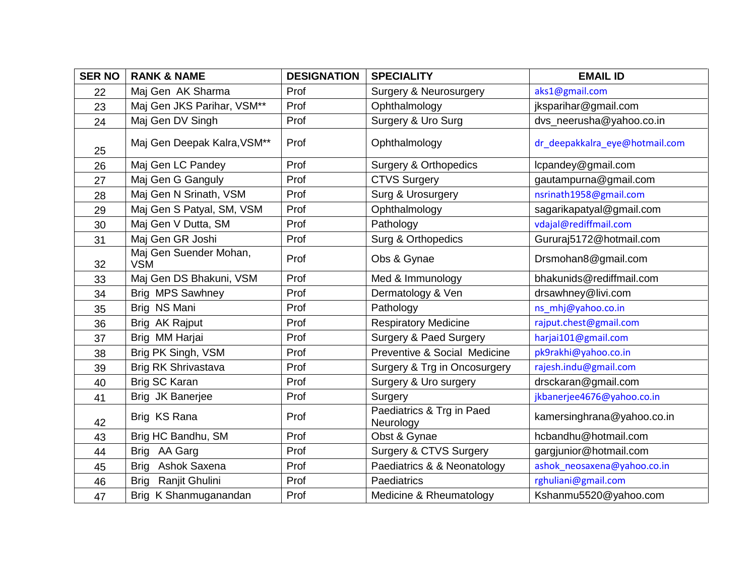| <b>SER NO</b> | <b>RANK &amp; NAME</b>               | <b>DESIGNATION</b> | <b>SPECIALITY</b>                      | <b>EMAIL ID</b>                |
|---------------|--------------------------------------|--------------------|----------------------------------------|--------------------------------|
| 22            | Maj Gen AK Sharma                    | Prof               | <b>Surgery &amp; Neurosurgery</b>      | aks1@gmail.com                 |
| 23            | Maj Gen JKS Parihar, VSM**           | Prof               | Ophthalmology                          | jksparihar@gmail.com           |
| 24            | Maj Gen DV Singh                     | Prof               | Surgery & Uro Surg                     | dvs_neerusha@yahoo.co.in       |
| 25            | Maj Gen Deepak Kalra, VSM**          | Prof               | Ophthalmology                          | dr_deepakkalra_eye@hotmail.com |
| 26            | Maj Gen LC Pandey                    | Prof               | <b>Surgery &amp; Orthopedics</b>       | lcpandey@gmail.com             |
| 27            | Maj Gen G Ganguly                    | Prof               | <b>CTVS Surgery</b>                    | gautampurna@gmail.com          |
| 28            | Maj Gen N Srinath, VSM               | Prof               | Surg & Urosurgery                      | nsrinath1958@gmail.com         |
| 29            | Maj Gen S Patyal, SM, VSM            | Prof               | Ophthalmology                          | sagarikapatyal@gmail.com       |
| 30            | Maj Gen V Dutta, SM                  | Prof               | Pathology                              | vdajal@rediffmail.com          |
| 31            | Maj Gen GR Joshi                     | Prof               | Surg & Orthopedics                     | Gururaj5172@hotmail.com        |
| 32            | Maj Gen Suender Mohan,<br><b>VSM</b> | Prof               | Obs & Gynae                            | Drsmohan8@gmail.com            |
| 33            | Maj Gen DS Bhakuni, VSM              | Prof               | Med & Immunology                       | bhakunids@rediffmail.com       |
| 34            | <b>Brig MPS Sawhney</b>              | Prof               | Dermatology & Ven                      | drsawhney@livi.com             |
| 35            | Brig NS Mani                         | Prof               | Pathology                              | ns_mhj@yahoo.co.in             |
| 36            | Brig AK Rajput                       | Prof               | <b>Respiratory Medicine</b>            | rajput.chest@gmail.com         |
| 37            | Brig MM Harjai                       | Prof               | <b>Surgery &amp; Paed Surgery</b>      | harjai101@gmail.com            |
| 38            | Brig PK Singh, VSM                   | Prof               | Preventive & Social Medicine           | pk9rakhi@yahoo.co.in           |
| 39            | <b>Brig RK Shrivastava</b>           | Prof               | Surgery & Trg in Oncosurgery           | rajesh.indu@gmail.com          |
| 40            | Brig SC Karan                        | Prof               | Surgery & Uro surgery                  | drsckaran@gmail.com            |
| 41            | Brig JK Banerjee                     | Prof               | Surgery                                | jkbanerjee4676@yahoo.co.in     |
| 42            | Brig KS Rana                         | Prof               | Paediatrics & Trg in Paed<br>Neurology | kamersinghrana@yahoo.co.in     |
| 43            | Brig HC Bandhu, SM                   | Prof               | Obst & Gynae                           | hcbandhu@hotmail.com           |
| 44            | Brig AA Garg                         | Prof               | Surgery & CTVS Surgery                 | gargjunior@hotmail.com         |
| 45            | <b>Brig</b><br>Ashok Saxena          | Prof               | Paediatrics & & Neonatology            | ashok neosaxena@yahoo.co.in    |
| 46            | Ranjit Ghulini<br><b>Brig</b>        | Prof               | Paediatrics                            | rghuliani@gmail.com            |
| 47            | Brig K Shanmuganandan                | Prof               | Medicine & Rheumatology                | Kshanmu5520@yahoo.com          |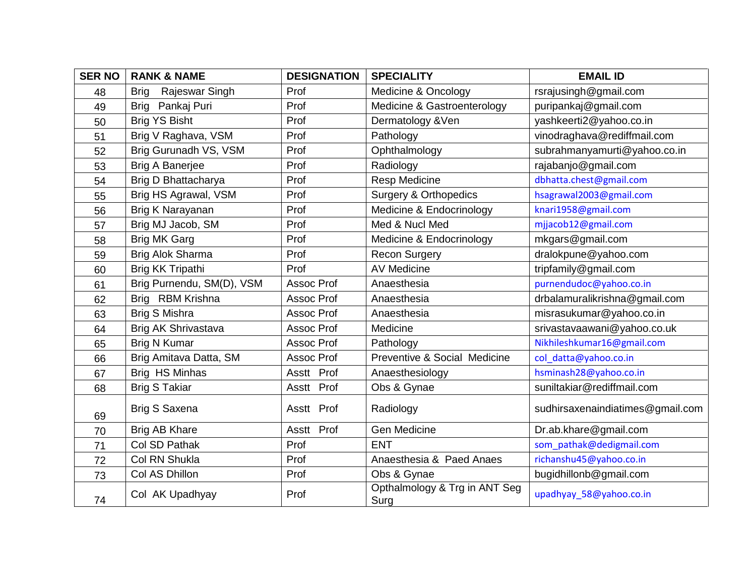| <b>SER NO</b> | <b>RANK &amp; NAME</b>        | <b>DESIGNATION</b> | <b>SPECIALITY</b>                     | <b>EMAIL ID</b>                  |
|---------------|-------------------------------|--------------------|---------------------------------------|----------------------------------|
| 48            | Rajeswar Singh<br><b>Brig</b> | Prof               | Medicine & Oncology                   | rsrajusingh@gmail.com            |
| 49            | Pankaj Puri<br><b>Brig</b>    | Prof               | Medicine & Gastroenterology           | puripankaj@gmail.com             |
| 50            | <b>Brig YS Bisht</b>          | Prof               | Dermatology & Ven                     | yashkeerti2@yahoo.co.in          |
| 51            | Brig V Raghava, VSM           | Prof               | Pathology                             | vinodraghava@rediffmail.com      |
| 52            | Brig Gurunadh VS, VSM         | Prof               | Ophthalmology                         | subrahmanyamurti@yahoo.co.in     |
| 53            | <b>Brig A Banerjee</b>        | Prof               | Radiology                             | rajabanjo@gmail.com              |
| 54            | Brig D Bhattacharya           | Prof               | <b>Resp Medicine</b>                  | dbhatta.chest@gmail.com          |
| 55            | Brig HS Agrawal, VSM          | Prof               | <b>Surgery &amp; Orthopedics</b>      | hsagrawal2003@gmail.com          |
| 56            | Brig K Narayanan              | Prof               | Medicine & Endocrinology              | knari1958@gmail.com              |
| 57            | Brig MJ Jacob, SM             | Prof               | Med & Nucl Med                        | mjjacob12@gmail.com              |
| 58            | <b>Brig MK Garg</b>           | Prof               | Medicine & Endocrinology              | mkgars@gmail.com                 |
| 59            | Brig Alok Sharma              | Prof               | <b>Recon Surgery</b>                  | dralokpune@yahoo.com             |
| 60            | Brig KK Tripathi              | Prof               | <b>AV Medicine</b>                    | tripfamily@gmail.com             |
| 61            | Brig Purnendu, SM(D), VSM     | Assoc Prof         | Anaesthesia                           | purnendudoc@yahoo.co.in          |
| 62            | Brig RBM Krishna              | Assoc Prof         | Anaesthesia                           | drbalamuralikrishna@gmail.com    |
| 63            | <b>Brig S Mishra</b>          | <b>Assoc Prof</b>  | Anaesthesia                           | misrasukumar@yahoo.co.in         |
| 64            | Brig AK Shrivastava           | Assoc Prof         | Medicine                              | srivastavaawani@yahoo.co.uk      |
| 65            | <b>Brig N Kumar</b>           | <b>Assoc Prof</b>  | Pathology                             | Nikhileshkumar16@gmail.com       |
| 66            | Brig Amitava Datta, SM        | Assoc Prof         | Preventive & Social Medicine          | col_datta@yahoo.co.in            |
| 67            | Brig HS Minhas                | Asstt Prof         | Anaesthesiology                       | hsminash28@yahoo.co.in           |
| 68            | <b>Brig S Takiar</b>          | Asstt Prof         | Obs & Gynae                           | suniltakiar@rediffmail.com       |
| 69            | <b>Brig S Saxena</b>          | Asstt Prof         | Radiology                             | sudhirsaxenaindiatimes@gmail.com |
| 70            | Brig AB Khare                 | Asstt Prof         | Gen Medicine                          | Dr.ab.khare@gmail.com            |
| 71            | Col SD Pathak                 | Prof               | <b>ENT</b>                            | som_pathak@dedigmail.com         |
| 72            | Col RN Shukla                 | Prof               | Anaesthesia & Paed Anaes              | richanshu45@yahoo.co.in          |
| 73            | Col AS Dhillon                | Prof               | Obs & Gynae                           | bugidhillonb@gmail.com           |
| 74            | Col AK Upadhyay               | Prof               | Opthalmology & Trg in ANT Seg<br>Surg | upadhyay_58@yahoo.co.in          |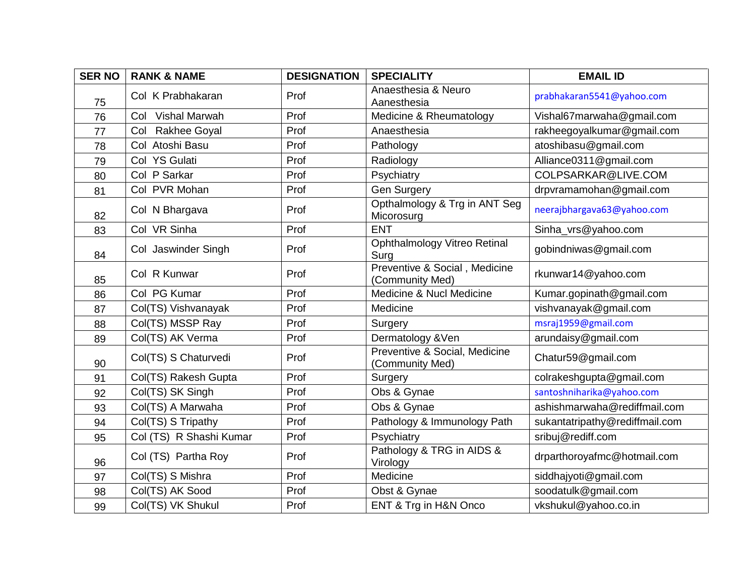| <b>SER NO</b> | <b>RANK &amp; NAME</b>  | <b>DESIGNATION</b> | <b>SPECIALITY</b>                                | <b>EMAIL ID</b>                |
|---------------|-------------------------|--------------------|--------------------------------------------------|--------------------------------|
| 75            | Col K Prabhakaran       | Prof               | Anaesthesia & Neuro<br>Aanesthesia               | prabhakaran5541@yahoo.com      |
| 76            | Col Vishal Marwah       | Prof               | Medicine & Rheumatology                          | Vishal67marwaha@gmail.com      |
| 77            | Col Rakhee Goyal        | Prof               | Anaesthesia                                      | rakheegoyalkumar@gmail.com     |
| 78            | Col Atoshi Basu         | Prof               | Pathology                                        | atoshibasu@gmail.com           |
| 79            | Col YS Gulati           | Prof               | Radiology                                        | Alliance0311@gmail.com         |
| 80            | Col P Sarkar            | Prof               | Psychiatry                                       | COLPSARKAR@LIVE.COM            |
| 81            | Col PVR Mohan           | Prof               | Gen Surgery                                      | drpvramamohan@gmail.com        |
| 82            | Col N Bhargava          | Prof               | Opthalmology & Trg in ANT Seg<br>Micorosurg      | neerajbhargava63@yahoo.com     |
| 83            | Col VR Sinha            | Prof               | <b>ENT</b>                                       | Sinha_vrs@yahoo.com            |
| 84            | Col Jaswinder Singh     | Prof               | Ophthalmology Vitreo Retinal<br>Surg             | gobindniwas@gmail.com          |
| 85            | Col R Kunwar            | Prof               | Preventive & Social, Medicine<br>(Community Med) | rkunwar14@yahoo.com            |
| 86            | Col PG Kumar            | Prof               | Medicine & Nucl Medicine                         | Kumar.gopinath@gmail.com       |
| 87            | Col(TS) Vishvanayak     | Prof               | Medicine                                         | vishvanayak@gmail.com          |
| 88            | Col(TS) MSSP Ray        | Prof               | Surgery                                          | msraj1959@gmail.com            |
| 89            | Col(TS) AK Verma        | Prof               | Dermatology & Ven                                | arundaisy@gmail.com            |
| 90            | Col(TS) S Chaturvedi    | Prof               | Preventive & Social, Medicine<br>(Community Med) | Chatur59@gmail.com             |
| 91            | Col(TS) Rakesh Gupta    | Prof               | Surgery                                          | colrakeshgupta@gmail.com       |
| 92            | Col(TS) SK Singh        | Prof               | Obs & Gynae                                      | santoshniharika@yahoo.com      |
| 93            | Col(TS) A Marwaha       | Prof               | Obs & Gynae                                      | ashishmarwaha@rediffmail.com   |
| 94            | Col(TS) S Tripathy      | Prof               | Pathology & Immunology Path                      | sukantatripathy@rediffmail.com |
| 95            | Col (TS) R Shashi Kumar | Prof               | Psychiatry                                       | sribuj@rediff.com              |
| 96            | Col (TS) Partha Roy     | Prof               | Pathology & TRG in AIDS &<br>Virology            | drparthoroyafmc@hotmail.com    |
| 97            | Col(TS) S Mishra        | Prof               | Medicine                                         | siddhajyoti@gmail.com          |
| 98            | Col(TS) AK Sood         | Prof               | Obst & Gynae                                     | soodatulk@gmail.com            |
| 99            | Col(TS) VK Shukul       | Prof               | ENT & Trg in H&N Onco                            | vkshukul@yahoo.co.in           |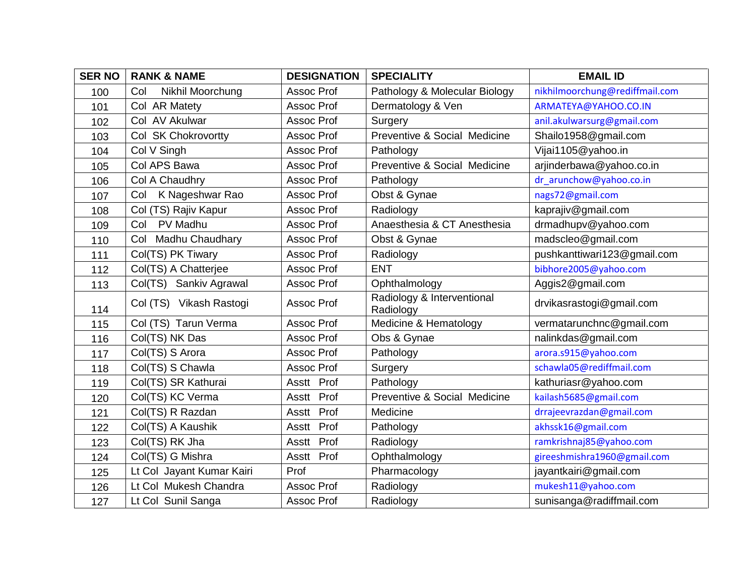| <b>SER NO</b> | <b>RANK &amp; NAME</b>    | <b>DESIGNATION</b> | <b>SPECIALITY</b>                       | <b>EMAIL ID</b>                |
|---------------|---------------------------|--------------------|-----------------------------------------|--------------------------------|
| 100           | Nikhil Moorchung<br>Col   | Assoc Prof         | Pathology & Molecular Biology           | nikhilmoorchung@rediffmail.com |
| 101           | Col AR Matety             | Assoc Prof         | Dermatology & Ven                       | ARMATEYA@YAHOO.CO.IN           |
| 102           | Col AV Akulwar            | <b>Assoc Prof</b>  | Surgery                                 | anil.akulwarsurg@gmail.com     |
| 103           | Col SK Chokrovortty       | Assoc Prof         | Preventive & Social Medicine            | Shailo1958@gmail.com           |
| 104           | Col V Singh               | Assoc Prof         | Pathology                               | Vijai1105@yahoo.in             |
| 105           | Col APS Bawa              | Assoc Prof         | Preventive & Social Medicine            | arjinderbawa@yahoo.co.in       |
| 106           | Col A Chaudhry            | <b>Assoc Prof</b>  | Pathology                               | dr arunchow@yahoo.co.in        |
| 107           | K Nageshwar Rao<br>Col    | Assoc Prof         | Obst & Gynae                            | nags72@gmail.com               |
| 108           | Col (TS) Rajiv Kapur      | Assoc Prof         | Radiology                               | kaprajiv@gmail.com             |
| 109           | PV Madhu<br>Col           | Assoc Prof         | Anaesthesia & CT Anesthesia             | drmadhupv@yahoo.com            |
| 110           | Col Madhu Chaudhary       | Assoc Prof         | Obst & Gynae                            | madscleo@gmail.com             |
| 111           | Col(TS) PK Tiwary         | Assoc Prof         | Radiology                               | pushkanttiwari123@gmail.com    |
| 112           | Col(TS) A Chatterjee      | Assoc Prof         | <b>ENT</b>                              | bibhore2005@yahoo.com          |
| 113           | Col(TS) Sankiv Agrawal    | Assoc Prof         | Ophthalmology                           | Aggis2@gmail.com               |
| 114           | Col (TS) Vikash Rastogi   | Assoc Prof         | Radiology & Interventional<br>Radiology | drvikasrastogi@gmail.com       |
| 115           | Col (TS) Tarun Verma      | Assoc Prof         | Medicine & Hematology                   | vermatarunchnc@gmail.com       |
| 116           | Col(TS) NK Das            | <b>Assoc Prof</b>  | Obs & Gynae                             | nalinkdas@gmail.com            |
| 117           | Col(TS) S Arora           | Assoc Prof         | Pathology                               | arora.s915@yahoo.com           |
| 118           | Col(TS) S Chawla          | Assoc Prof         | Surgery                                 | schawla05@rediffmail.com       |
| 119           | Col(TS) SR Kathurai       | Asstt Prof         | Pathology                               | kathuriasr@yahoo.com           |
| 120           | Col(TS) KC Verma          | Asstt Prof         | Preventive & Social Medicine            | kailash5685@gmail.com          |
| 121           | Col(TS) R Razdan          | Prof<br>Asstt      | Medicine                                | drrajeevrazdan@gmail.com       |
| 122           | Col(TS) A Kaushik         | Prof<br>Asstt      | Pathology                               | akhssk16@gmail.com             |
| 123           | Col(TS) RK Jha            | Prof<br>Asstt      | Radiology                               | ramkrishnaj85@yahoo.com        |
| 124           | Col(TS) G Mishra          | Asstt Prof         | Ophthalmology                           | gireeshmishra1960@gmail.com    |
| 125           | Lt Col Jayant Kumar Kairi | Prof               | Pharmacology                            | jayantkairi@gmail.com          |
| 126           | Lt Col Mukesh Chandra     | Assoc Prof         | Radiology                               | mukesh11@yahoo.com             |
| 127           | Lt Col Sunil Sanga        | Assoc Prof         | Radiology                               | sunisanga@radiffmail.com       |